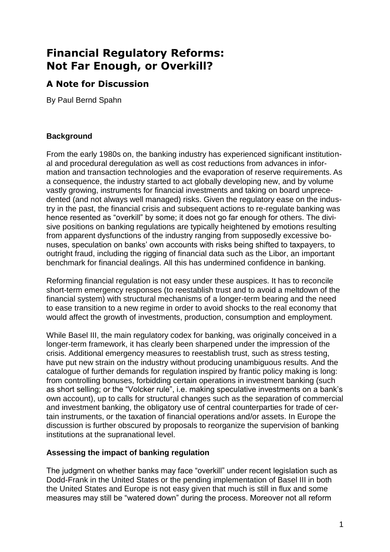# **Financial Regulatory Reforms: Not Far Enough, or Overkill?**

## **A Note for Discussion**

By Paul Bernd Spahn

### **Background**

From the early 1980s on, the banking industry has experienced significant institutional and procedural deregulation as well as cost reductions from advances in information and transaction technologies and the evaporation of reserve requirements. As a consequence, the industry started to act globally developing new, and by volume vastly growing, instruments for financial investments and taking on board unprecedented (and not always well managed) risks. Given the regulatory ease on the industry in the past, the financial crisis and subsequent actions to re-regulate banking was hence resented as "overkill" by some; it does not go far enough for others. The divisive positions on banking regulations are typically heightened by emotions resulting from apparent dysfunctions of the industry ranging from supposedly excessive bonuses, speculation on banks' own accounts with risks being shifted to taxpayers, to outright fraud, including the rigging of financial data such as the Libor, an important benchmark for financial dealings. All this has undermined confidence in banking.

Reforming financial regulation is not easy under these auspices. It has to reconcile short-term emergency responses (to reestablish trust and to avoid a meltdown of the financial system) with structural mechanisms of a longer-term bearing and the need to ease transition to a new regime in order to avoid shocks to the real economy that would affect the growth of investments, production, consumption and employment.

While Basel III, the main regulatory codex for banking, was originally conceived in a longer-term framework, it has clearly been sharpened under the impression of the crisis. Additional emergency measures to reestablish trust, such as stress testing, have put new strain on the industry without producing unambiguous results. And the catalogue of further demands for regulation inspired by frantic policy making is long: from controlling bonuses, forbidding certain operations in investment banking (such as short selling; or the "Volcker rule", i.e. making speculative investments on a bank's own account), up to calls for structural changes such as the separation of commercial and investment banking, the obligatory use of central counterparties for trade of certain instruments, or the taxation of financial operations and/or assets. In Europe the discussion is further obscured by proposals to reorganize the supervision of banking institutions at the supranational level.

#### **Assessing the impact of banking regulation**

The judgment on whether banks may face "overkill" under recent legislation such as Dodd-Frank in the United States or the pending implementation of Basel III in both the United States and Europe is not easy given that much is still in flux and some measures may still be "watered down" during the process. Moreover not all reform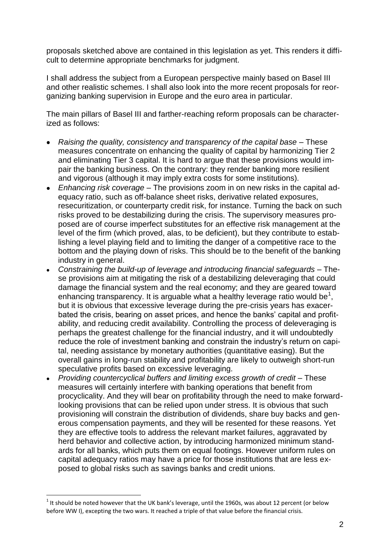proposals sketched above are contained in this legislation as yet. This renders it difficult to determine appropriate benchmarks for judgment.

I shall address the subject from a European perspective mainly based on Basel III and other realistic schemes. I shall also look into the more recent proposals for reorganizing banking supervision in Europe and the euro area in particular.

The main pillars of Basel III and farther-reaching reform proposals can be characterized as follows:

- *Raising the quality, consistency and transparency of the capital base* These measures concentrate on enhancing the quality of capital by harmonizing Tier 2 and eliminating Tier 3 capital. It is hard to argue that these provisions would impair the banking business. On the contrary: they render banking more resilient and vigorous (although it may imply extra costs for some institutions).
- *Enhancing risk coverage*  The provisions zoom in on new risks in the capital adequacy ratio, such as off-balance sheet risks, derivative related exposures, resecuritization, or counterparty credit risk, for instance. Turning the back on such risks proved to be destabilizing during the crisis. The supervisory measures proposed are of course imperfect substitutes for an effective risk management at the level of the firm (which proved, alas, to be deficient), but they contribute to establishing a level playing field and to limiting the danger of a competitive race to the bottom and the playing down of risks. This should be to the benefit of the banking industry in general.
- *Constraining the build-up of leverage and introducing financial safeguards* These provisions aim at mitigating the risk of a destabilizing deleveraging that could damage the financial system and the real economy; and they are geared toward enhancing transparency. It is arguable what a healthy leverage ratio would be<sup>1</sup>, but it is obvious that excessive leverage during the pre-crisis years has exacerbated the crisis, bearing on asset prices, and hence the banks' capital and profitability, and reducing credit availability. Controlling the process of deleveraging is perhaps the greatest challenge for the financial industry, and it will undoubtedly reduce the role of investment banking and constrain the industry's return on capital, needing assistance by monetary authorities (quantitative easing). But the overall gains in long-run stability and profitability are likely to outweigh short-run speculative profits based on excessive leveraging.
- *Providing countercyclical buffers and limiting excess growth of credit* These measures will certainly interfere with banking operations that benefit from procyclicality. And they will bear on profitability through the need to make forwardlooking provisions that can be relied upon under stress. It is obvious that such provisioning will constrain the distribution of dividends, share buy backs and generous compensation payments, and they will be resented for these reasons. Yet they are effective tools to address the relevant market failures, aggravated by herd behavior and collective action, by introducing harmonized minimum standards for all banks, which puts them on equal footings. However uniform rules on capital adequacy ratios may have a price for those institutions that are less exposed to global risks such as savings banks and credit unions.

l

 $<sup>1</sup>$  It should be noted however that the UK bank's leverage, until the 1960s, was about 12 percent (or below</sup> before WW I), excepting the two wars. It reached a triple of that value before the financial crisis.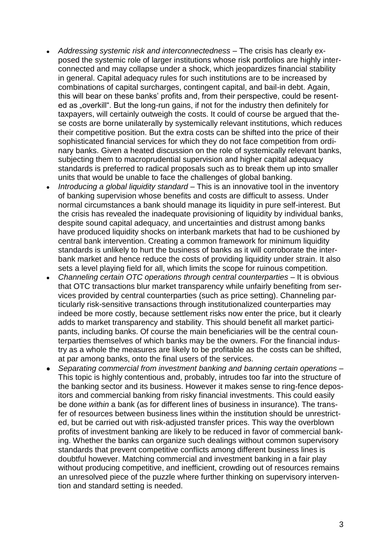- *Addressing systemic risk and interconnectedness* The crisis has clearly exposed the systemic role of larger institutions whose risk portfolios are highly interconnected and may collapse under a shock, which jeopardizes financial stability in general. Capital adequacy rules for such institutions are to be increased by combinations of capital surcharges, contingent capital, and bail-in debt. Again, this will bear on these banks' profits and, from their perspective, could be resented as "overkill". But the long-run gains, if not for the industry then definitely for taxpayers, will certainly outweigh the costs. It could of course be argued that these costs are borne unilaterally by systemically relevant institutions, which reduces their competitive position. But the extra costs can be shifted into the price of their sophisticated financial services for which they do not face competition from ordinary banks. Given a heated discussion on the role of systemically relevant banks, subjecting them to macroprudential supervision and higher capital adequacy standards is preferred to radical proposals such as to break them up into smaller units that would be unable to face the challenges of global banking.
- *Introducing a global liquidity standard* This is an innovative tool in the inventory of banking supervision whose benefits and costs are difficult to assess. Under normal circumstances a bank should manage its liquidity in pure self-interest. But the crisis has revealed the inadequate provisioning of liquidity by individual banks, despite sound capital adequacy, and uncertainties and distrust among banks have produced liquidity shocks on interbank markets that had to be cushioned by central bank intervention. Creating a common framework for minimum liquidity standards is unlikely to hurt the business of banks as it will corroborate the interbank market and hence reduce the costs of providing liquidity under strain. It also sets a level playing field for all, which limits the scope for ruinous competition.
- *Channeling certain OTC operations through central counterparties* It is obvious that OTC transactions blur market transparency while unfairly benefiting from services provided by central counterparties (such as price setting). Channeling particularly risk-sensitive transactions through institutionalized counterparties may indeed be more costly, because settlement risks now enter the price, but it clearly adds to market transparency and stability. This should benefit all market participants, including banks. Of course the main beneficiaries will be the central counterparties themselves of which banks may be the owners. For the financial industry as a whole the measures are likely to be profitable as the costs can be shifted, at par among banks, onto the final users of the services.
- *Separating commercial from investment banking and banning certain operations* This topic is highly contentious and, probably, intrudes too far into the structure of the banking sector and its business. However it makes sense to ring-fence depositors and commercial banking from risky financial investments. This could easily be done *within* a bank (as for different lines of business in insurance). The transfer of resources between business lines within the institution should be unrestricted, but be carried out with risk-adjusted transfer prices. This way the overblown profits of investment banking are likely to be reduced in favor of commercial banking. Whether the banks can organize such dealings without common supervisory standards that prevent competitive conflicts among different business lines is doubtful however. Matching commercial and investment banking in a fair play without producing competitive, and inefficient, crowding out of resources remains an unresolved piece of the puzzle where further thinking on supervisory intervention and standard setting is needed.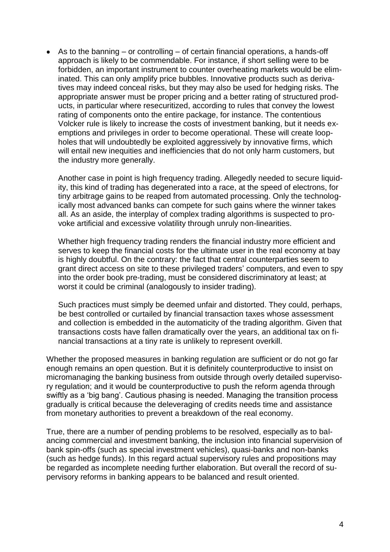As to the banning – or controlling – of certain financial operations, a hands-off approach is likely to be commendable. For instance, if short selling were to be forbidden, an important instrument to counter overheating markets would be eliminated. This can only amplify price bubbles. Innovative products such as derivatives may indeed conceal risks, but they may also be used for hedging risks. The appropriate answer must be proper pricing and a better rating of structured products, in particular where resecuritized, according to rules that convey the lowest rating of components onto the entire package, for instance. The contentious Volcker rule is likely to increase the costs of investment banking, but it needs exemptions and privileges in order to become operational. These will create loopholes that will undoubtedly be exploited aggressively by innovative firms, which will entail new inequities and inefficiencies that do not only harm customers, but the industry more generally.

Another case in point is high frequency trading. Allegedly needed to secure liquidity, this kind of trading has degenerated into a race, at the speed of electrons, for tiny arbitrage gains to be reaped from automated processing. Only the technologically most advanced banks can compete for such gains where the winner takes all. As an aside, the interplay of complex trading algorithms is suspected to provoke artificial and excessive volatility through unruly non-linearities.

Whether high frequency trading renders the financial industry more efficient and serves to keep the financial costs for the ultimate user in the real economy at bay is highly doubtful. On the contrary: the fact that central counterparties seem to grant direct access on site to these privileged traders' computers, and even to spy into the order book pre-trading, must be considered discriminatory at least; at worst it could be criminal (analogously to insider trading).

Such practices must simply be deemed unfair and distorted. They could, perhaps, be best controlled or curtailed by financial transaction taxes whose assessment and collection is embedded in the automaticity of the trading algorithm. Given that transactions costs have fallen dramatically over the years, an additional tax on financial transactions at a tiny rate is unlikely to represent overkill.

Whether the proposed measures in banking regulation are sufficient or do not go far enough remains an open question. But it is definitely counterproductive to insist on micromanaging the banking business from outside through overly detailed supervisory regulation; and it would be counterproductive to push the reform agenda through swiftly as a 'big bang'. Cautious phasing is needed. Managing the transition process gradually is critical because the deleveraging of credits needs time and assistance from monetary authorities to prevent a breakdown of the real economy.

True, there are a number of pending problems to be resolved, especially as to balancing commercial and investment banking, the inclusion into financial supervision of bank spin-offs (such as special investment vehicles), quasi-banks and non-banks (such as hedge funds). In this regard actual supervisory rules and propositions may be regarded as incomplete needing further elaboration. But overall the record of supervisory reforms in banking appears to be balanced and result oriented.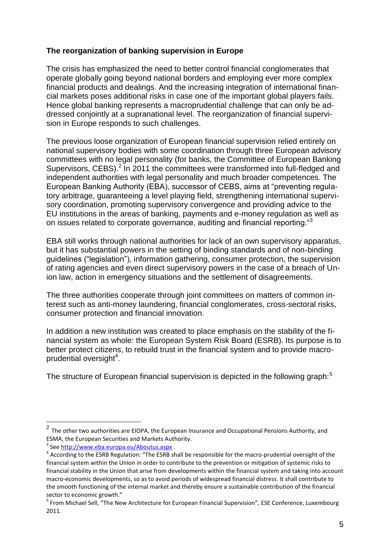#### **The reorganization of banking supervision in Europe**

The crisis has emphasized the need to better control financial conglomerates that operate globally going beyond national borders and employing ever more complex financial products and dealings. And the increasing integration of international financial markets poses additional risks in case one of the important global players fails. Hence global banking represents a macroprudential challenge that can only be addressed conjointly at a supranational level. The reorganization of financial supervision in Europe responds to such challenges.

The previous loose organization of European financial supervision relied entirely on national supervisory bodies with some coordination through three European advisory committees with no legal personality (for banks, the Committee of European Banking Supervisors, CEBS).<sup>2</sup> In 2011 the committees were transformed into full-fledged and independent authorities with legal personality and much broader competences. The European Banking Authority (EBA), successor of CEBS, aims at "preventing regulatory arbitrage, guaranteeing a level playing field, strengthening international supervisory coordination, promoting supervisory convergence and providing advice to the EU institutions in the areas of banking, payments and e-money regulation as well as on issues related to corporate governance, auditing and financial reporting."<sup>3</sup>

EBA still works through national authorities for lack of an own supervisory apparatus, but it has substantial powers in the setting of binding standards and of non-binding guidelines ("legislation"), information gathering, consumer protection, the supervision of rating agencies and even direct supervisory powers in the case of a breach of Union law, action in emergency situations and the settlement of disagreements.

The three authorities cooperate through joint committees on matters of common interest such as anti-money laundering, financial conglomerates, cross-sectoral risks, consumer protection and financial innovation.

In addition a new institution was created to place emphasis on the stability of the financial system as whole: the European System Risk Board (ESRB). Its purpose is to better protect citizens, to rebuild trust in the financial system and to provide macroprudential oversight<sup>4</sup>.

The structure of European financial supervision is depicted in the following graph:<sup>5</sup>

 $\overline{a}$ 

 $2$  The other two authorities are EIOPA, the European Insurance and Occupational Pensions Authority, and ESMA, the European Securities and Markets Authority.

<sup>&</sup>lt;sup>3</sup> See<http://www.eba.europa.eu/Aboutus.aspx> .

<sup>&</sup>lt;sup>4</sup> According to the ESRB Regulation: "The ESRB shall be responsible for the macro-prudential oversight of the financial system within the Union in order to contribute to the prevention or mitigation of systemic risks to financial stability in the Union that arise from developments within the financial system and taking into account macro-economic developments, so as to avoid periods of widespread financial distress. It shall contribute to the smooth functioning of the internal market and thereby ensure a sustainable contribution of the financial sector to economic growth."

<sup>&</sup>lt;sup>5</sup> From Michael Sell, "The New Architecture for European Financial Supervision", ESE Conference, Luxembourg 2011.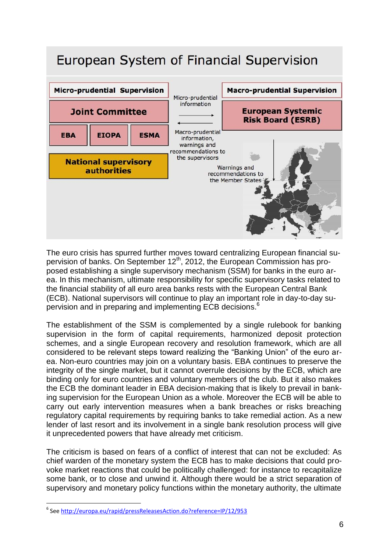#### European System of Financial Supervision **Micro-prudential Supervision Macro-prudential Supervision** Micro-prudential information **Joint Committee European Systemic Risk Board (ESRB)** Macro-prudential **EIOPA ESMA EBA** information,

warnings and recommendations to the supervisors

Warnings and

recommendations to the Member States

**National supervisory** 

**authorities** 

The euro crisis has spurred further moves toward centralizing European financial supervision of banks. On September 12<sup>th</sup>, 2012, the European Commission has proposed establishing a single supervisory mechanism (SSM) for banks in the euro area. In this mechanism, ultimate responsibility for specific supervisory tasks related to the financial stability of all euro area banks rests with the European Central Bank (ECB). National supervisors will continue to play an important role in day-to-day supervision and in preparing and implementing ECB decisions.<sup>6</sup>

The establishment of the SSM is complemented by a single rulebook for banking supervision in the form of capital requirements, harmonized deposit protection schemes, and a single European recovery and resolution framework, which are all considered to be relevant steps toward realizing the "Banking Union" of the euro area. Non-euro countries may join on a voluntary basis. EBA continues to preserve the integrity of the single market, but it cannot overrule decisions by the ECB, which are binding only for euro countries and voluntary members of the club. But it also makes the ECB the dominant leader in EBA decision-making that is likely to prevail in banking supervision for the European Union as a whole. Moreover the ECB will be able to carry out early intervention measures when a bank breaches or risks breaching regulatory capital requirements by requiring banks to take remedial action. As a new lender of last resort and its involvement in a single bank resolution process will give it unprecedented powers that have already met criticism.

The criticism is based on fears of a conflict of interest that can not be excluded: As chief warden of the monetary system the ECB has to make decisions that could provoke market reactions that could be politically challenged: for instance to recapitalize some bank, or to close and unwind it. Although there would be a strict separation of supervisory and monetary policy functions within the monetary authority, the ultimate

 $\overline{a}$ 

<sup>&</sup>lt;sup>6</sup> See<http://europa.eu/rapid/pressReleasesAction.do?reference=IP/12/953>